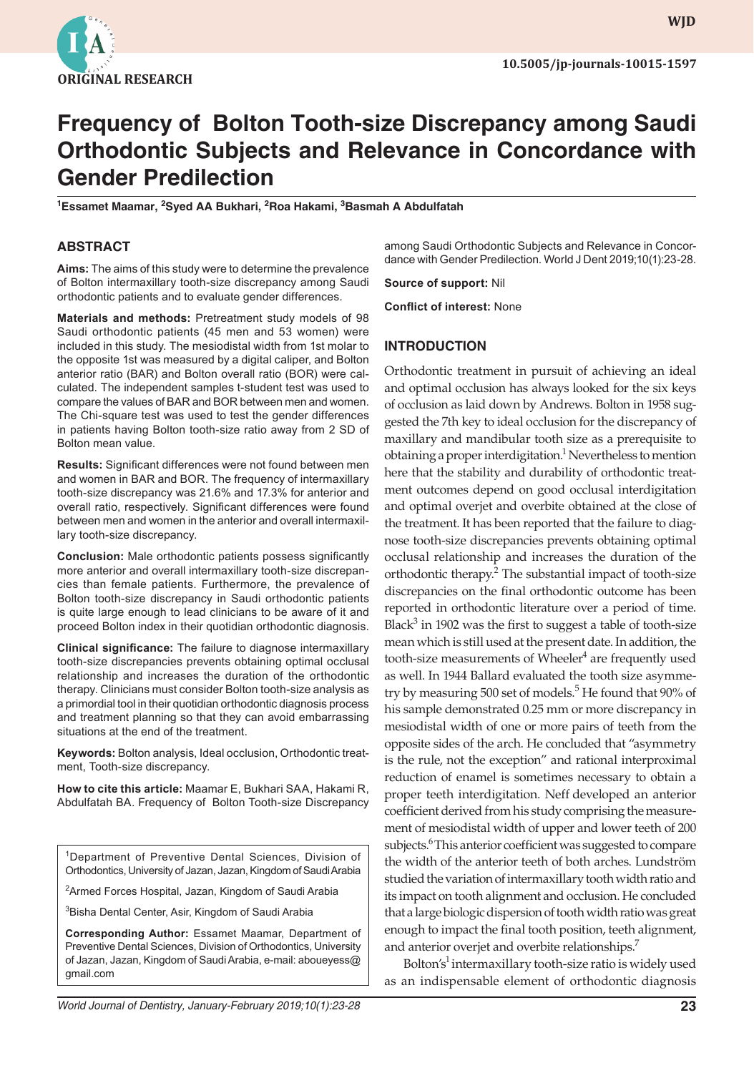

**WJD WJD**

# **Frequency of Bolton Tooth-size Discrepancy among Saudi Orthodontic Subjects and Relevance in Concordance with Gender Predilection**

**1 Essamet Maamar, <sup>2</sup> Syed AA Bukhari, 2 Roa Hakami, <sup>3</sup> Basmah A Abdulfatah**

## **ABSTRACT**

**Aims:** The aims of this study were to determine the prevalence of Bolton intermaxillary tooth-size discrepancy among Saudi orthodontic patients and to evaluate gender differences.

**Materials and methods:** Pretreatment study models of 98 Saudi orthodontic patients (45 men and 53 women) were included in this study. The mesiodistal width from 1st molar to the opposite 1st was measured by a digital caliper, and Bolton anterior ratio (BAR) and Bolton overall ratio (BOR) were calculated. The independent samples t-student test was used to compare the values of BAR and BOR between men and women. The Chi-square test was used to test the gender differences in patients having Bolton tooth-size ratio away from 2 SD of Bolton mean value.

**Results:** Significant differences were not found between men and women in BAR and BOR. The frequency of intermaxillary tooth-size discrepancy was 21.6% and 17.3% for anterior and overall ratio, respectively. Significant differences were found between men and women in the anterior and overall intermaxillary tooth-size discrepancy.

**Conclusion:** Male orthodontic patients possess significantly more anterior and overall intermaxillary tooth-size discrepancies than female patients. Furthermore, the prevalence of Bolton tooth-size discrepancy in Saudi orthodontic patients is quite large enough to lead clinicians to be aware of it and proceed Bolton index in their quotidian orthodontic diagnosis.

**Clinical significance:** The failure to diagnose intermaxillary tooth-size discrepancies prevents obtaining optimal occlusal relationship and increases the duration of the orthodontic therapy. Clinicians must consider Bolton tooth-size analysis as a primordial tool in their quotidian orthodontic diagnosis process and treatment planning so that they can avoid embarrassing situations at the end of the treatment.

**Keywords:** Bolton analysis, Ideal occlusion, Orthodontic treatment, Tooth-size discrepancy.

**How to cite this article:** Maamar E, Bukhari SAA, Hakami R, Abdulfatah BA. Frequency of Bolton Tooth-size Discrepancy

<sup>1</sup>Department of Preventive Dental Sciences, Division of Orthodontics, University of Jazan, Jazan, Kingdom of Saudi Arabia

<sup>2</sup>Armed Forces Hospital, Jazan, Kingdom of Saudi Arabia

3 Bisha Dental Center, Asir, Kingdom of Saudi Arabia

**Corresponding Author:** Essamet Maamar, Department of Preventive Dental Sciences, Division of Orthodontics, University of Jazan, Jazan, Kingdom of Saudi Arabia, e-mail: aboueyess@ gmail.com

among Saudi Orthodontic Subjects and Relevance in Concordance with Gender Predilection. World J Dent 2019;10(1):23-28.

**Source of support:** Nil

**Conflict of interest:** None

#### **INTRODUCTION**

Orthodontic treatment in pursuit of achieving an ideal and optimal occlusion has always looked for the six keys of occlusion as laid down by Andrews. Bolton in 1958 suggested the 7th key to ideal occlusion for the discrepancy of maxillary and mandibular tooth size as a prerequisite to obtaining a proper interdigitation.<sup>1</sup> Nevertheless to mention here that the stability and durability of orthodontic treatment outcomes depend on good occlusal interdigitation and optimal overjet and overbite obtained at the close of the treatment. It has been reported that the failure to diagnose tooth-size discrepancies prevents obtaining optimal occlusal relationship and increases the duration of the orthodontic therapy.<sup>2</sup> The substantial impact of tooth-size discrepancies on the final orthodontic outcome has been reported in orthodontic literature over a period of time. Black $3$  in 1902 was the first to suggest a table of tooth-size mean which is still used at the present date. In addition, the tooth-size measurements of Wheeler<sup>4</sup> are frequently used as well. In 1944 Ballard evaluated the tooth size asymmetry by measuring 500 set of models.<sup>5</sup> He found that 90% of his sample demonstrated 0.25 mm or more discrepancy in mesiodistal width of one or more pairs of teeth from the opposite sides of the arch. He concluded that "asymmetry is the rule, not the exception" and rational interproximal reduction of enamel is sometimes necessary to obtain a proper teeth interdigitation. Neff developed an anterior coefficient derived from his study comprising the measurement of mesiodistal width of upper and lower teeth of 200 subjects.<sup>6</sup> This anterior coefficient was suggested to compare the width of the anterior teeth of both arches. Lundström studied the variation of intermaxillary tooth width ratio and its impact on tooth alignment and occlusion. He concluded that a large biologic dispersion of tooth width ratio was great enough to impact the final tooth position, teeth alignment, and anterior overjet and overbite relationships.<sup>7</sup>

Bolton's<sup>1</sup> intermaxillary tooth-size ratio is widely used as an indispensable element of orthodontic diagnosis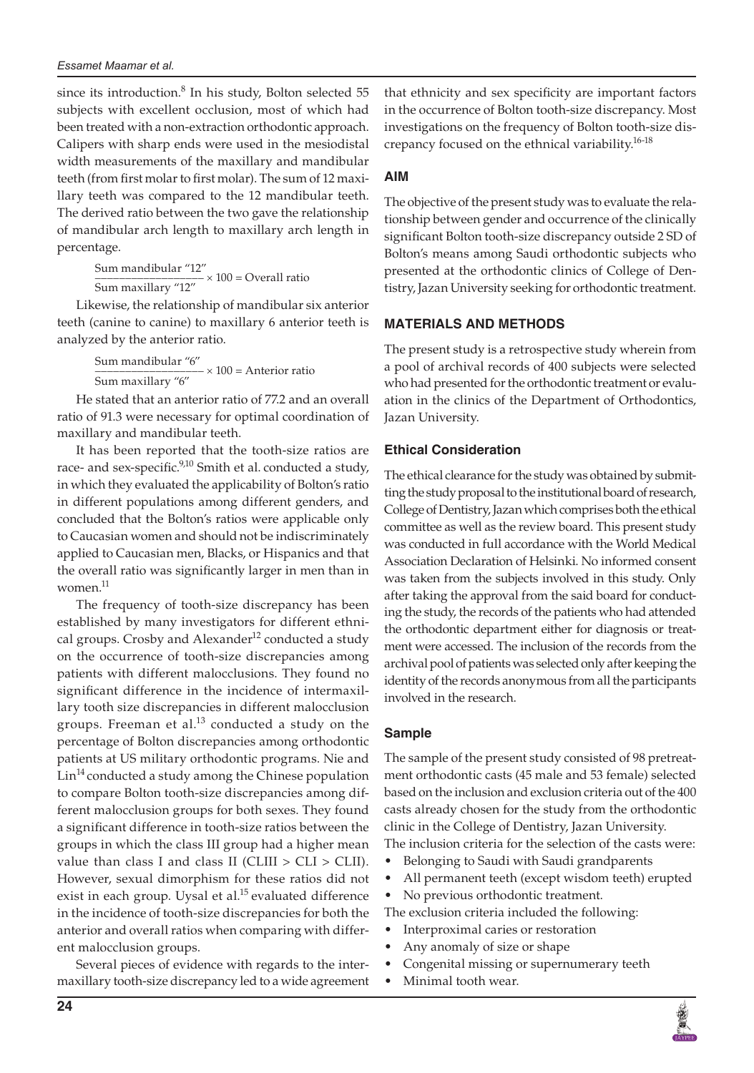since its introduction. $8$  In his study, Bolton selected 55 subjects with excellent occlusion, most of which had been treated with a non-extraction orthodontic approach. Calipers with sharp ends were used in the mesiodistal width measurements of the maxillary and mandibular teeth (from first molar to first molar). The sum of 12 maxillary teeth was compared to the 12 mandibular teeth. The derived ratio between the two gave the relationship of mandibular arch length to maxillary arch length in percentage.

> Sum mandibular "12" \_\_\_\_\_\_\_\_\_\_\_\_\_\_\_\_\_\_ × 100 = Overall ratio Sum maxillary "12"

Likewise, the relationship of mandibular six anterior teeth (canine to canine) to maxillary 6 anterior teeth is analyzed by the anterior ratio.

> Sum mandibular "6" \_\_\_\_\_\_\_\_\_\_\_\_\_\_\_\_\_\_ × 100 = Anterior ratio Sum maxillary "6"

He stated that an anterior ratio of 77.2 and an overall ratio of 91.3 were necessary for optimal coordination of maxillary and mandibular teeth.

It has been reported that the tooth-size ratios are race- and sex-specific.<sup>9,10</sup> Smith et al. conducted a study, in which they evaluated the applicability of Bolton's ratio in different populations among different genders, and concluded that the Bolton's ratios were applicable only to Caucasian women and should not be indiscriminately applied to Caucasian men, Blacks, or Hispanics and that the overall ratio was significantly larger in men than in women. $^{\mathrm{11}}$ 

The frequency of tooth-size discrepancy has been established by many investigators for different ethnical groups. Crosby and Alexander<sup>12</sup> conducted a study on the occurrence of tooth-size discrepancies among patients with different malocclusions. They found no significant difference in the incidence of intermaxillary tooth size discrepancies in different malocclusion groups. Freeman et al. $^{13}$  conducted a study on the percentage of Bolton discrepancies among orthodontic patients at US military orthodontic programs. Nie and  $Lin<sup>14</sup>$  conducted a study among the Chinese population to compare Bolton tooth-size discrepancies among different malocclusion groups for both sexes. They found a significant difference in tooth-size ratios between the groups in which the class III group had a higher mean value than class I and class II (CLIII > CLI > CLII). However, sexual dimorphism for these ratios did not exist in each group. Uysal et al.<sup>15</sup> evaluated difference in the incidence of tooth-size discrepancies for both the anterior and overall ratios when comparing with different malocclusion groups.

Several pieces of evidence with regards to the intermaxillary tooth-size discrepancy led to a wide agreement that ethnicity and sex specificity are important factors in the occurrence of Bolton tooth-size discrepancy. Most investigations on the frequency of Bolton tooth-size discrepancy focused on the ethnical variability.<sup>16-18</sup>

# **AIM**

The objective of the present study was to evaluate the relationship between gender and occurrence of the clinically significant Bolton tooth-size discrepancy outside 2 SD of Bolton's means among Saudi orthodontic subjects who presented at the orthodontic clinics of College of Dentistry, Jazan University seeking for orthodontic treatment.

# **MATERIALS AND METHODS**

The present study is a retrospective study wherein from a pool of archival records of 400 subjects were selected who had presented for the orthodontic treatment or evaluation in the clinics of the Department of Orthodontics, Jazan University.

# **Ethical Consideration**

The ethical clearance for the study was obtained by submitting the study proposal to the institutional board of research, College of Dentistry, Jazan which comprises both the ethical committee as well as the review board. This present study was conducted in full accordance with the World Medical Association Declaration of Helsinki. No informed consent was taken from the subjects involved in this study. Only after taking the approval from the said board for conducting the study, the records of the patients who had attended the orthodontic department either for diagnosis or treatment were accessed. The inclusion of the records from the archival pool of patients was selected only after keeping the identity of the records anonymous from all the participants involved in the research.

# **Sample**

The sample of the present study consisted of 98 pretreatment orthodontic casts (45 male and 53 female) selected based on the inclusion and exclusion criteria out of the 400 casts already chosen for the study from the orthodontic clinic in the College of Dentistry, Jazan University. The inclusion criteria for the selection of the casts were:

- Belonging to Saudi with Saudi grandparents
- All permanent teeth (except wisdom teeth) erupted
- No previous orthodontic treatment.

The exclusion criteria included the following:

- Interproximal caries or restoration
- Any anomaly of size or shape
- Congenital missing or supernumerary teeth
- Minimal tooth wear.

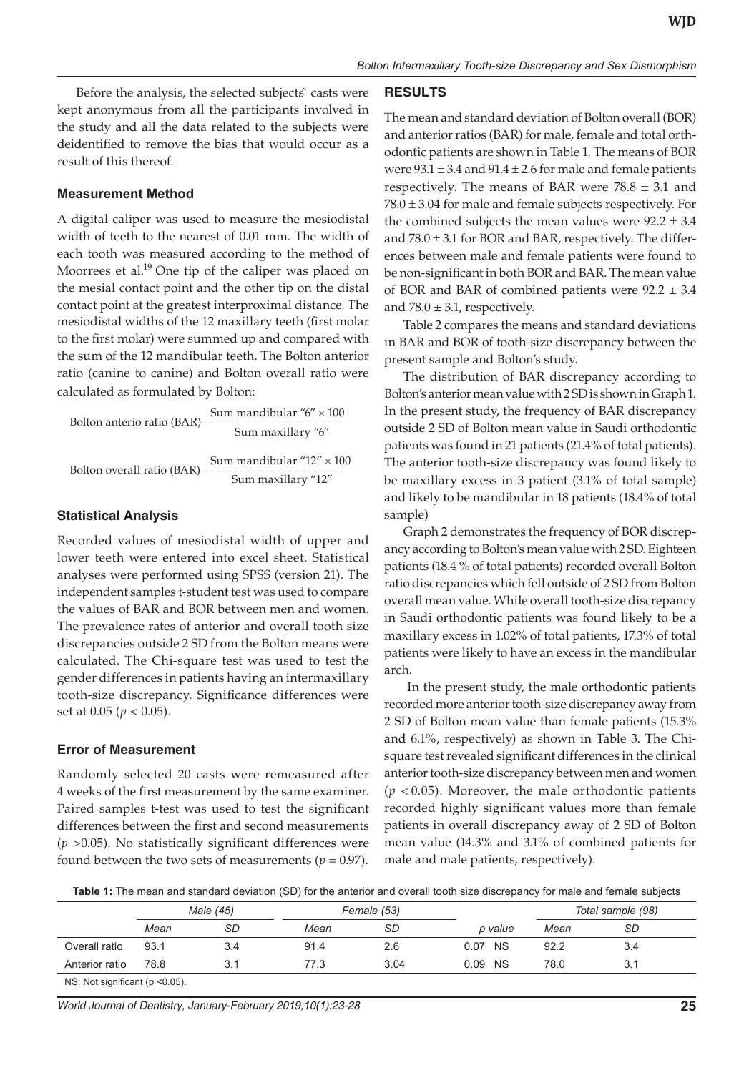Before the analysis, the selected subjects` casts were kept anonymous from all the participants involved in the study and all the data related to the subjects were deidentified to remove the bias that would occur as a result of this thereof.

### **Measurement Method**

A digital caliper was used to measure the mesiodistal width of teeth to the nearest of 0.01 mm. The width of each tooth was measured according to the method of Moorrees et al.<sup>19</sup> One tip of the caliper was placed on the mesial contact point and the other tip on the distal contact point at the greatest interproximal distance. The mesiodistal widths of the 12 maxillary teeth (first molar to the first molar) were summed up and compared with the sum of the 12 mandibular teeth. The Bolton anterior ratio (canine to canine) and Bolton overall ratio were calculated as formulated by Bolton:

Bolton anterioratio (BAR)

\n
$$
\frac{\text{Sum mandibular } "6" \times 100}{\text{Sum maxillary } "6"}
$$

\nBolton overall ratio (BAR)

\n
$$
\frac{\text{Sum mandibular } "12" \times 100}{\text{Sum maxillary } "12"}
$$

#### **Statistical Analysis**

Recorded values of mesiodistal width of upper and lower teeth were entered into excel sheet. Statistical analyses were performed using SPSS (version 21). The independent samples t-student test was used to compare the values of BAR and BOR between men and women. The prevalence rates of anterior and overall tooth size discrepancies outside 2 SD from the Bolton means were calculated. The Chi-square test was used to test the gender differences in patients having an intermaxillary tooth-size discrepancy. Significance differences were set at 0.05 (*p* < 0.05).

#### **Error of Measurement**

Randomly selected 20 casts were remeasured after 4 weeks of the first measurement by the same examiner. Paired samples t-test was used to test the significant differences between the first and second measurements (*p* >0.05). No statistically significant differences were found between the two sets of measurements ( $p = 0.97$ ).

#### **RESULTS**

The mean and standard deviation of Bolton overall (BOR) and anterior ratios (BAR) for male, female and total orthodontic patients are shown in Table 1. The means of BOR were  $93.1 \pm 3.4$  and  $91.4 \pm 2.6$  for male and female patients respectively. The means of BAR were  $78.8 \pm 3.1$  and  $78.0 \pm 3.04$  for male and female subjects respectively. For the combined subjects the mean values were  $92.2 \pm 3.4$ and  $78.0 \pm 3.1$  for BOR and BAR, respectively. The differences between male and female patients were found to be non-significant in both BOR and BAR. The mean value of BOR and BAR of combined patients were  $92.2 \pm 3.4$ and  $78.0 \pm 3.1$ , respectively.

Table 2 compares the means and standard deviations in BAR and BOR of tooth-size discrepancy between the present sample and Bolton's study.

The distribution of BAR discrepancy according to Bolton's anterior mean value with 2 SD is shown in Graph 1. In the present study, the frequency of BAR discrepancy outside 2 SD of Bolton mean value in Saudi orthodontic patients was found in 21 patients (21.4% of total patients). The anterior tooth-size discrepancy was found likely to be maxillary excess in 3 patient (3.1% of total sample) and likely to be mandibular in 18 patients (18.4% of total sample)

Graph 2 demonstrates the frequency of BOR discrepancy according to Bolton's mean value with 2 SD. Eighteen patients (18.4 % of total patients) recorded overall Bolton ratio discrepancies which fell outside of 2 SD from Bolton overall mean value. While overall tooth-size discrepancy in Saudi orthodontic patients was found likely to be a maxillary excess in 1.02% of total patients, 17.3% of total patients were likely to have an excess in the mandibular arch.

 In the present study, the male orthodontic patients recorded more anterior tooth-size discrepancy away from 2 SD of Bolton mean value than female patients (15.3% and 6.1%, respectively) as shown in Table 3. The Chisquare test revealed significant differences in the clinical anterior tooth-size discrepancy between men and women (*p* < 0.05). Moreover, the male orthodontic patients recorded highly significant values more than female patients in overall discrepancy away of 2 SD of Bolton mean value (14.3% and 3.1% of combined patients for male and male patients, respectively).

**Table 1:** The mean and standard deviation (SD) for the anterior and overall tooth size discrepancy for male and female subjects

|                | Male (45)                          |           | Female (53) |      |                   | Total sample (98) |     |
|----------------|------------------------------------|-----------|-------------|------|-------------------|-------------------|-----|
|                | Mean                               | <b>SD</b> | Mean        | SD   | p value           | Mean              | SD  |
| Overall ratio  | 93.1                               | 3.4       | 91.4        | 2.6  | 0.07 NS           | 92.2              | 3.4 |
| Anterior ratio | 78.8                               | 3.1       | 77.3        | 3.04 | <b>NS</b><br>0.09 | 78.0              | 3.1 |
|                | NS: Not significant ( $p$ < 0.05). |           |             |      |                   |                   |     |

*World Journal of Dentistry, January-February 2019;10(1):23-28* **25**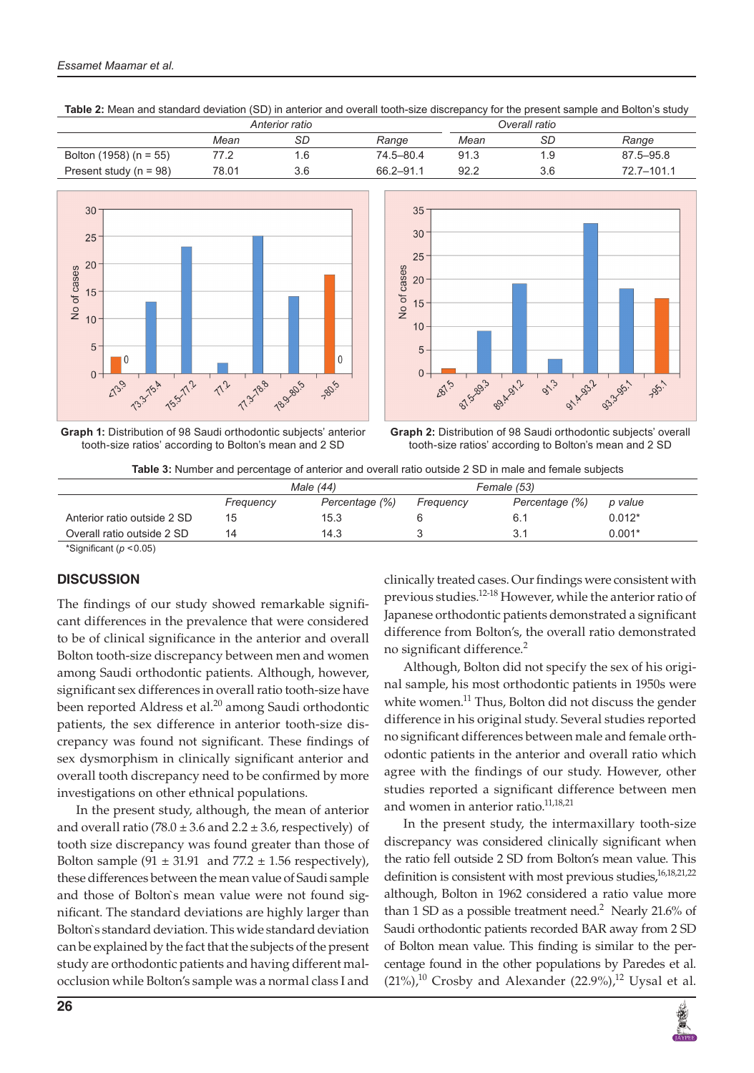|                            |       | Anterior ratio |           |      | Overall ratio |            |
|----------------------------|-------|----------------|-----------|------|---------------|------------|
|                            | Mean  | SD             | Range     | Mean | SD            | Range      |
| Bolton $(1958)$ (n = 55)   |       | .6             | 74.5-80.4 | 91.3 | l .9          | 87.5-95.8  |
| Present study ( $n = 98$ ) | 78.01 | 3.6            | 66.2-91.1 | 92.2 | 3.6           | 72.7-101.1 |







**Graph 1:** Distribution of 98 Saudi orthodontic subjects' anterior tooth-size ratios' according to Bolton's mean and 2 SD

**Graph 2:** Distribution of 98 Saudi orthodontic subjects' overall tooth-size ratios' according to Bolton's mean and 2 SD

|                                     | Male (44) |                | Female (53) |                |          |  |
|-------------------------------------|-----------|----------------|-------------|----------------|----------|--|
|                                     | Frequency | Percentage (%) | Freauencv   | Percentage (%) | p value  |  |
| Anterior ratio outside 2 SD         | 15        | 15.3           |             | 6.1            | $0.012*$ |  |
| Overall ratio outside 2 SD          | 14        | 14.3           |             | 3.1            | $0.001*$ |  |
| $*C:subif; and if$ $\rightarrow C.$ |           |                |             |                |          |  |

Significant (*p* <0.05)

## **DISCUSSION**

The findings of our study showed remarkable significant differences in the prevalence that were considered to be of clinical significance in the anterior and overall Bolton tooth-size discrepancy between men and women among Saudi orthodontic patients. Although, however, significant sex differences in overall ratio tooth-size have been reported Aldress et al.<sup>20</sup> among Saudi orthodontic patients, the sex difference in anterior tooth-size discrepancy was found not significant. These findings of sex dysmorphism in clinically significant anterior and overall tooth discrepancy need to be confirmed by more investigations on other ethnical populations.

In the present study, although, the mean of anterior and overall ratio (78.0  $\pm$  3.6 and 2.2  $\pm$  3.6, respectively) of tooth size discrepancy was found greater than those of Bolton sample  $(91 \pm 31.91)$  and  $77.2 \pm 1.56$  respectively), these differences between the mean value of Saudi sample and those of Bolton`s mean value were not found significant. The standard deviations are highly larger than Bolton`s standard deviation. This wide standard deviation can be explained by the fact that the subjects of the present study are orthodontic patients and having different malocclusion while Bolton's sample was a normal class I and

clinically treated cases. Our findings were consistent with previous studies.12-18 However, while the anterior ratio of Japanese orthodontic patients demonstrated a significant difference from Bolton's, the overall ratio demonstrated no significant difference.<sup>2</sup>

Although, Bolton did not specify the sex of his original sample, his most orthodontic patients in 1950s were white women.<sup>11</sup> Thus, Bolton did not discuss the gender difference in his original study. Several studies reported no significant differences between male and female orthodontic patients in the anterior and overall ratio which agree with the findings of our study. However, other studies reported a significant difference between men and women in anterior ratio.<sup>11,18,21</sup>

In the present study, the intermaxillary tooth-size discrepancy was considered clinically significant when the ratio fell outside 2 SD from Bolton's mean value. This definition is consistent with most previous studies,<sup>16,18,21,22</sup> although, Bolton in 1962 considered a ratio value more than 1 SD as a possible treatment need.<sup>2</sup> Nearly 21.6% of Saudi orthodontic patients recorded BAR away from 2 SD of Bolton mean value. This finding is similar to the percentage found in the other populations by Paredes et al.  $(21\%)$ ,<sup>10</sup> Crosby and Alexander  $(22.9\%)$ ,<sup>12</sup> Uysal et al.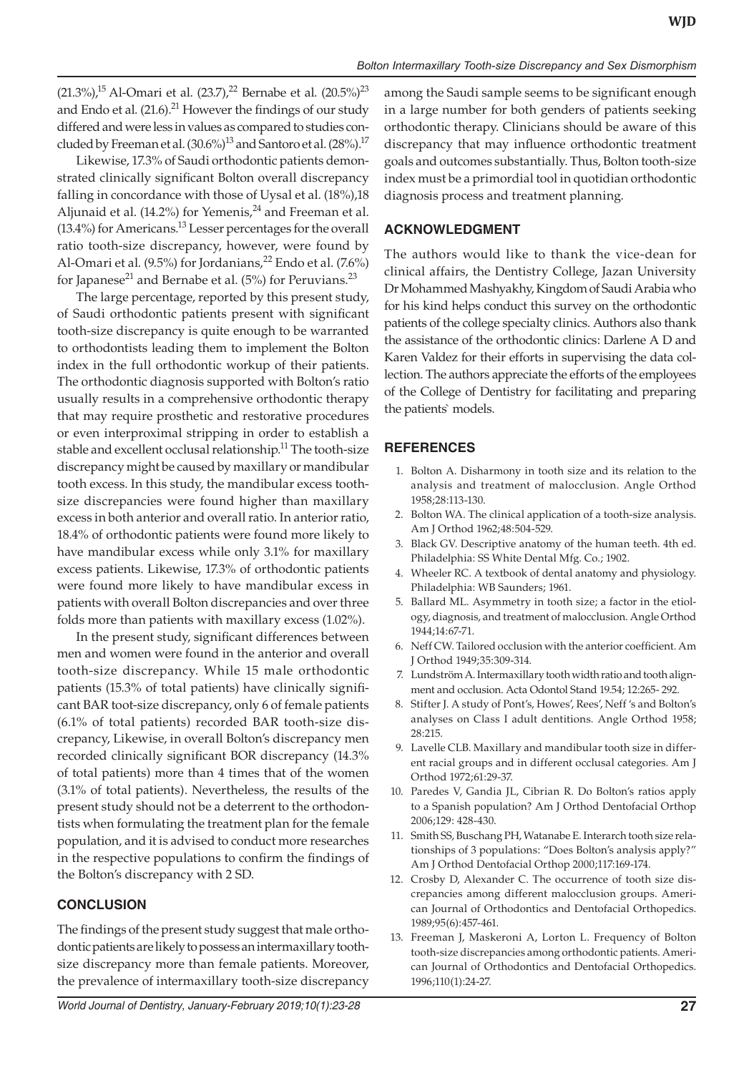(21.3%),<sup>15</sup> Al-Omari et al. (23.7),<sup>22</sup> Bernabe et al. (20.5%)<sup>23</sup> and Endo et al.  $(21.6).^{21}$  However the findings of our study differed and were less in values as compared to studies concluded by Freeman et al.  $(30.6\%)^{13}$  and Santoro et al.  $(28\%)^{17}$ 

Likewise, 17.3% of Saudi orthodontic patients demonstrated clinically significant Bolton overall discrepancy falling in concordance with those of Uysal et al. (18%),18 Aljunaid et al. (14.2%) for Yemenis, $^{24}$  and Freeman et al. (13.4%) for Americans.<sup>13</sup> Lesser percentages for the overall ratio tooth-size discrepancy, however, were found by Al-Omari et al.  $(9.5\%)$  for Jordanians,<sup>22</sup> Endo et al.  $(7.6\%)$ for Japanese $^{21}$  and Bernabe et al. (5%) for Peruvians. $^{23}$ 

The large percentage, reported by this present study, of Saudi orthodontic patients present with significant tooth-size discrepancy is quite enough to be warranted to orthodontists leading them to implement the Bolton index in the full orthodontic workup of their patients. The orthodontic diagnosis supported with Bolton's ratio usually results in a comprehensive orthodontic therapy that may require prosthetic and restorative procedures or even interproximal stripping in order to establish a stable and excellent occlusal relationship.<sup>11</sup> The tooth-size discrepancy might be caused by maxillary or mandibular tooth excess. In this study, the mandibular excess toothsize discrepancies were found higher than maxillary excess in both anterior and overall ratio. In anterior ratio, 18.4% of orthodontic patients were found more likely to have mandibular excess while only 3.1% for maxillary excess patients. Likewise, 17.3% of orthodontic patients were found more likely to have mandibular excess in patients with overall Bolton discrepancies and over three folds more than patients with maxillary excess (1.02%).

In the present study, significant differences between men and women were found in the anterior and overall tooth-size discrepancy. While 15 male orthodontic patients (15.3% of total patients) have clinically significant BAR toot-size discrepancy, only 6 of female patients (6.1% of total patients) recorded BAR tooth-size discrepancy, Likewise, in overall Bolton's discrepancy men recorded clinically significant BOR discrepancy (14.3% of total patients) more than 4 times that of the women (3.1% of total patients). Nevertheless, the results of the present study should not be a deterrent to the orthodontists when formulating the treatment plan for the female population, and it is advised to conduct more researches in the respective populations to confirm the findings of the Bolton's discrepancy with 2 SD.

## **CONCLUSION**

The findings of the present study suggest that male orthodontic patients are likely to possess an intermaxillary toothsize discrepancy more than female patients. Moreover, the prevalence of intermaxillary tooth-size discrepancy

among the Saudi sample seems to be significant enough in a large number for both genders of patients seeking orthodontic therapy. Clinicians should be aware of this discrepancy that may influence orthodontic treatment goals and outcomes substantially. Thus, Bolton tooth-size index must be a primordial tool in quotidian orthodontic diagnosis process and treatment planning.

#### **ACKNOWLEDGMENT**

The authors would like to thank the vice-dean for clinical affairs, the Dentistry College, Jazan University Dr Mohammed Mashyakhy, Kingdom of Saudi Arabia who for his kind helps conduct this survey on the orthodontic patients of the college specialty clinics. Authors also thank the assistance of the orthodontic clinics: Darlene A D and Karen Valdez for their efforts in supervising the data collection. The authors appreciate the efforts of the employees of the College of Dentistry for facilitating and preparing the patients` models.

## **REFERENCES**

- 1. Bolton A. Disharmony in tooth size and its relation to the analysis and treatment of malocclusion. Angle Orthod 1958;28:113-130.
- 2. Bolton WA. The clinical application of a tooth-size analysis. Am J Orthod 1962;48:504-529.
- Black GV. Descriptive anatomy of the human teeth. 4th ed. Philadelphia: SS White Dental Mfg. Co.; 1902.
- 4. Wheeler RC. A textbook of dental anatomy and physiology. Philadelphia: WB Saunders; 1961.
- 5. Ballard ML. Asymmetry in tooth size; a factor in the etiology, diagnosis, and treatment of malocclusion. Angle Orthod 1944;14:67-71.
- 6. Neff CW. Tailored occlusion with the anterior coefficient. Am J Orthod 1949;35:309-314.
- 7. Lundström A. Intermaxillary tooth width ratio and tooth alignment and occlusion. Acta Odontol Stand 19.54; 12:265- 292.
- 8. Stifter J. A study of Pont's, Howes', Rees', Neff 's and Bolton's analyses on Class I adult dentitions. Angle Orthod 1958; 28:215.
- 9. Lavelle CLB. Maxillary and mandibular tooth size in different racial groups and in different occlusal categories. Am J Orthod 1972;61:29-37.
- 10. Paredes V, Gandia JL, Cibrian R. Do Bolton's ratios apply to a Spanish population? Am J Orthod Dentofacial Orthop 2006;129: 428-430.
- 11. Smith SS, Buschang PH, Watanabe E. Interarch tooth size relationships of 3 populations: "Does Bolton's analysis apply?" Am J Orthod Dentofacial Orthop 2000;117:169-174.
- 12. Crosby D, Alexander C. The occurrence of tooth size discrepancies among different malocclusion groups. American Journal of Orthodontics and Dentofacial Orthopedics. 1989;95(6):457-461.
- 13. Freeman J, Maskeroni A, Lorton L. Frequency of Bolton tooth-size discrepancies among orthodontic patients. American Journal of Orthodontics and Dentofacial Orthopedics. 1996;110(1):24-27.